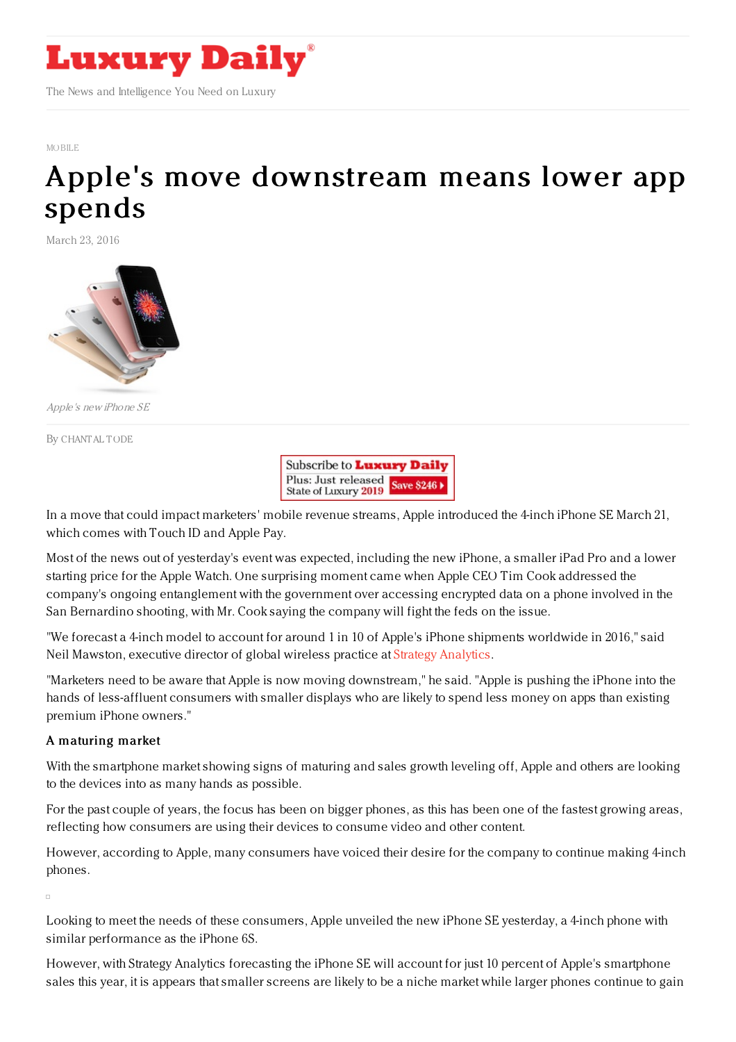

## [MOBILE](https://www.luxurydaily.com/category/news/mobile-news/)

## Apple's move [downstream](https://www.luxurydaily.com/apples-move-downstream-means-lower-app-spends/) means lower app spends

March 23, 2016



Apple's new iPhone SE

By [CHANTAL](file:///author/chantal-tode) TODE



In a move that could impact marketers' mobile revenue streams, Apple introduced the 4-inch iPhone SE March 21, which comes with Touch ID and Apple Pay.

Most of the news out of yesterday's event was expected, including the new iPhone, a smaller iPad Pro and a lower starting price for the Apple Watch. One surprising moment came when Apple CEO Tim Cook addressed the company's ongoing entanglement with the government over accessing encrypted data on a phone involved in the San Bernardino shooting, with Mr. Cook saying the company will fight the feds on the issue.

"We forecast a 4-inch model to account for around 1 in 10 of Apple's iPhone shipments worldwide in 2016," said Neil Mawston, executive director of global wireless practice at Strategy [Analytics](https://www.strategyanalytics.com/).

"Marketers need to be aware that Apple is now moving downstream," he said. "Apple is pushing the iPhone into the hands of less-affluent consumers with smaller displays who are likely to spend less money on apps than existing premium iPhone owners."

## A maturing market

With the smartphone market showing signs of maturing and sales growth leveling off, Apple and others are looking to the devices into as many hands as possible.

For the past couple of years, the focus has been on bigger phones, as this has been one of the fastest growing areas, reflecting how consumers are using their devices to consume video and other content.

However, according to Apple, many consumers have voiced their desire for the company to continue making 4-inch phones.

Looking to meet the needs of these consumers, Apple unveiled the new iPhone SE yesterday, a 4-inch phone with similar performance as the iPhone 6S.

However, with Strategy Analytics forecasting the iPhone SE will account for just 10 percent of Apple's smartphone sales this year, it is appears that smaller screens are likely to be a niche market while larger phones continue to gain